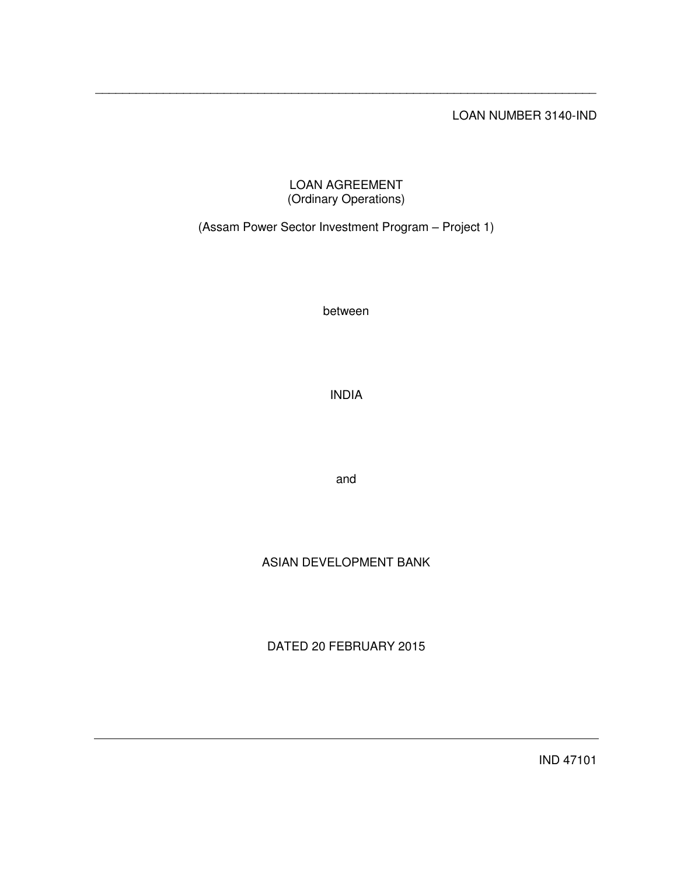## LOAN NUMBER 3140-IND

## LOAN AGREEMENT (Ordinary Operations)

\_\_\_\_\_\_\_\_\_\_\_\_\_\_\_\_\_\_\_\_\_\_\_\_\_\_\_\_\_\_\_\_\_\_\_\_\_\_\_\_\_\_\_\_\_\_\_\_\_\_\_\_\_\_\_\_\_\_\_\_\_\_\_\_\_\_\_\_\_\_\_\_\_\_

# (Assam Power Sector Investment Program – Project 1)

between

INDIA

and

# ASIAN DEVELOPMENT BANK

DATED 20 FEBRUARY 2015

IND 47101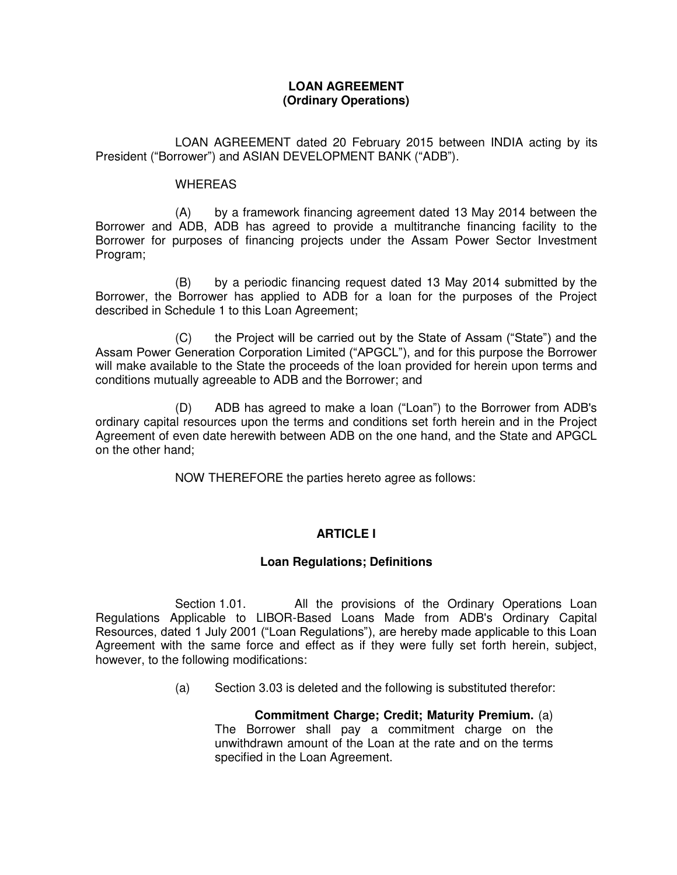### **LOAN AGREEMENT (Ordinary Operations)**

 LOAN AGREEMENT dated 20 February 2015 between INDIA acting by its President ("Borrower") and ASIAN DEVELOPMENT BANK ("ADB").

#### **WHEREAS**

(A) by a framework financing agreement dated 13 May 2014 between the Borrower and ADB, ADB has agreed to provide a multitranche financing facility to the Borrower for purposes of financing projects under the Assam Power Sector Investment Program;

 (B) by a periodic financing request dated 13 May 2014 submitted by the Borrower, the Borrower has applied to ADB for a loan for the purposes of the Project described in Schedule 1 to this Loan Agreement;

(C) the Project will be carried out by the State of Assam ("State") and the Assam Power Generation Corporation Limited ("APGCL"), and for this purpose the Borrower will make available to the State the proceeds of the loan provided for herein upon terms and conditions mutually agreeable to ADB and the Borrower; and

 (D) ADB has agreed to make a loan ("Loan") to the Borrower from ADB's ordinary capital resources upon the terms and conditions set forth herein and in the Project Agreement of even date herewith between ADB on the one hand, and the State and APGCL on the other hand;

NOW THEREFORE the parties hereto agree as follows:

## **ARTICLE I**

### **Loan Regulations; Definitions**

Section 1.01. All the provisions of the Ordinary Operations Loan Regulations Applicable to LIBOR-Based Loans Made from ADB's Ordinary Capital Resources, dated 1 July 2001 ("Loan Regulations"), are hereby made applicable to this Loan Agreement with the same force and effect as if they were fully set forth herein, subject, however, to the following modifications:

(a) Section 3.03 is deleted and the following is substituted therefor:

**Commitment Charge; Credit; Maturity Premium.** (a) The Borrower shall pay a commitment charge on the unwithdrawn amount of the Loan at the rate and on the terms specified in the Loan Agreement.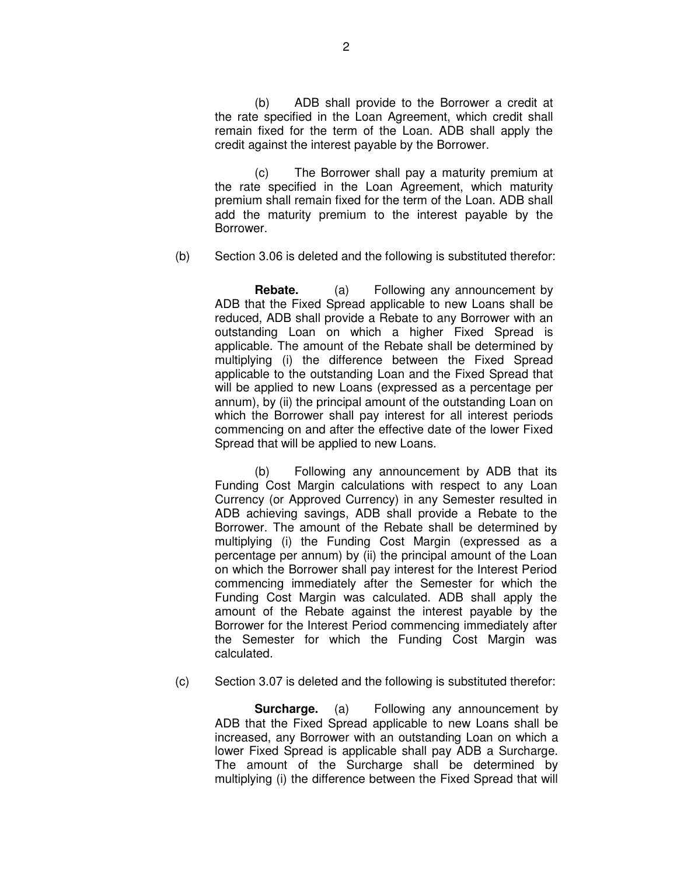(b) ADB shall provide to the Borrower a credit at the rate specified in the Loan Agreement, which credit shall remain fixed for the term of the Loan. ADB shall apply the credit against the interest payable by the Borrower.

(c) The Borrower shall pay a maturity premium at the rate specified in the Loan Agreement, which maturity premium shall remain fixed for the term of the Loan. ADB shall add the maturity premium to the interest payable by the Borrower.

(b) Section 3.06 is deleted and the following is substituted therefor:

 **Rebate.** (a) Following any announcement by ADB that the Fixed Spread applicable to new Loans shall be reduced, ADB shall provide a Rebate to any Borrower with an outstanding Loan on which a higher Fixed Spread is applicable. The amount of the Rebate shall be determined by multiplying (i) the difference between the Fixed Spread applicable to the outstanding Loan and the Fixed Spread that will be applied to new Loans (expressed as a percentage per annum), by (ii) the principal amount of the outstanding Loan on which the Borrower shall pay interest for all interest periods commencing on and after the effective date of the lower Fixed Spread that will be applied to new Loans.

(b) Following any announcement by ADB that its Funding Cost Margin calculations with respect to any Loan Currency (or Approved Currency) in any Semester resulted in ADB achieving savings, ADB shall provide a Rebate to the Borrower. The amount of the Rebate shall be determined by multiplying (i) the Funding Cost Margin (expressed as a percentage per annum) by (ii) the principal amount of the Loan on which the Borrower shall pay interest for the Interest Period commencing immediately after the Semester for which the Funding Cost Margin was calculated. ADB shall apply the amount of the Rebate against the interest payable by the Borrower for the Interest Period commencing immediately after the Semester for which the Funding Cost Margin was calculated.

(c) Section 3.07 is deleted and the following is substituted therefor:

**Surcharge.** (a) Following any announcement by ADB that the Fixed Spread applicable to new Loans shall be increased, any Borrower with an outstanding Loan on which a lower Fixed Spread is applicable shall pay ADB a Surcharge. The amount of the Surcharge shall be determined by multiplying (i) the difference between the Fixed Spread that will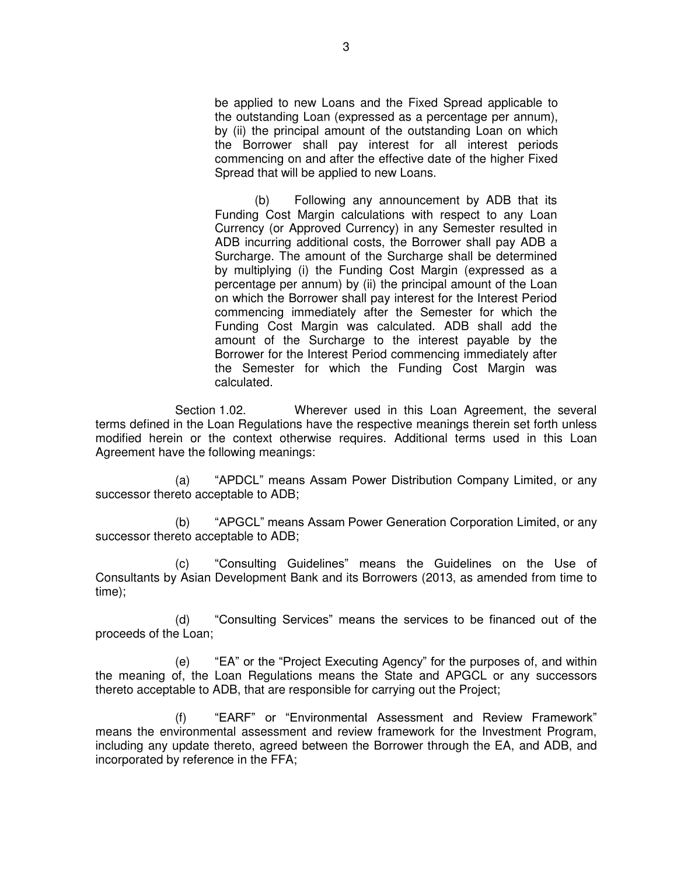be applied to new Loans and the Fixed Spread applicable to the outstanding Loan (expressed as a percentage per annum), by (ii) the principal amount of the outstanding Loan on which the Borrower shall pay interest for all interest periods commencing on and after the effective date of the higher Fixed Spread that will be applied to new Loans.

(b) Following any announcement by ADB that its Funding Cost Margin calculations with respect to any Loan Currency (or Approved Currency) in any Semester resulted in ADB incurring additional costs, the Borrower shall pay ADB a Surcharge. The amount of the Surcharge shall be determined by multiplying (i) the Funding Cost Margin (expressed as a percentage per annum) by (ii) the principal amount of the Loan on which the Borrower shall pay interest for the Interest Period commencing immediately after the Semester for which the Funding Cost Margin was calculated. ADB shall add the amount of the Surcharge to the interest payable by the Borrower for the Interest Period commencing immediately after the Semester for which the Funding Cost Margin was calculated.

 Section 1.02. Wherever used in this Loan Agreement, the several terms defined in the Loan Regulations have the respective meanings therein set forth unless modified herein or the context otherwise requires. Additional terms used in this Loan Agreement have the following meanings:

(a) "APDCL" means Assam Power Distribution Company Limited, or any successor thereto acceptable to ADB;

(b) "APGCL" means Assam Power Generation Corporation Limited, or any successor thereto acceptable to ADB;

(c) "Consulting Guidelines" means the Guidelines on the Use of Consultants by Asian Development Bank and its Borrowers (2013, as amended from time to time);

(d) "Consulting Services" means the services to be financed out of the proceeds of the Loan;

(e) "EA" or the "Project Executing Agency" for the purposes of, and within the meaning of, the Loan Regulations means the State and APGCL or any successors thereto acceptable to ADB, that are responsible for carrying out the Project;

(f) "EARF" or "Environmental Assessment and Review Framework" means the environmental assessment and review framework for the Investment Program, including any update thereto, agreed between the Borrower through the EA, and ADB, and incorporated by reference in the FFA;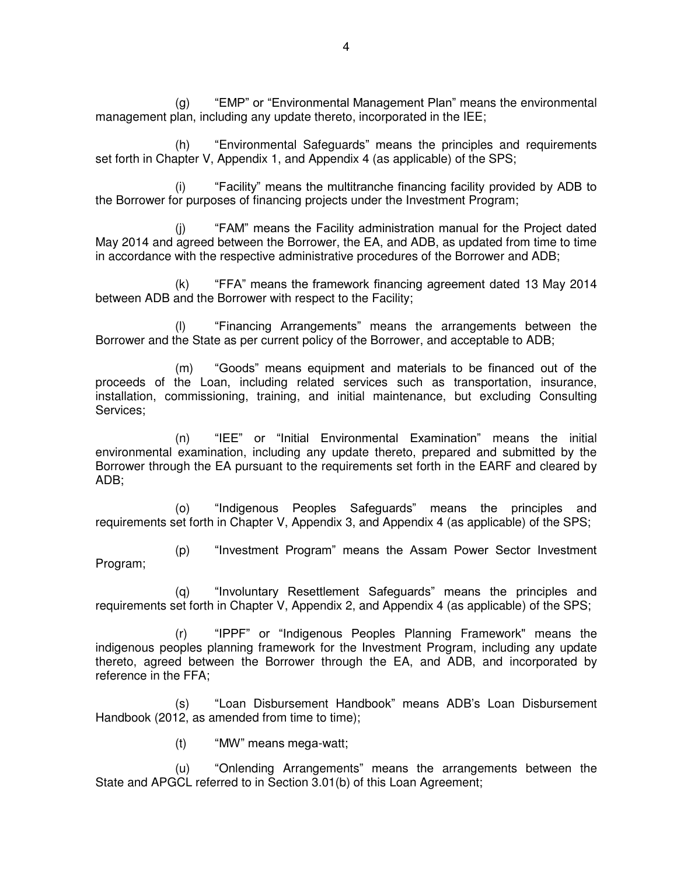(g) "EMP" or "Environmental Management Plan" means the environmental management plan, including any update thereto, incorporated in the IEE;

(h) "Environmental Safeguards" means the principles and requirements set forth in Chapter V, Appendix 1, and Appendix 4 (as applicable) of the SPS;

(i) "Facility" means the multitranche financing facility provided by ADB to the Borrower for purposes of financing projects under the Investment Program;

(j) "FAM" means the Facility administration manual for the Project dated May 2014 and agreed between the Borrower, the EA, and ADB, as updated from time to time in accordance with the respective administrative procedures of the Borrower and ADB;

(k) "FFA" means the framework financing agreement dated 13 May 2014 between ADB and the Borrower with respect to the Facility;

(l) "Financing Arrangements" means the arrangements between the Borrower and the State as per current policy of the Borrower, and acceptable to ADB;

(m) "Goods" means equipment and materials to be financed out of the proceeds of the Loan, including related services such as transportation, insurance, installation, commissioning, training, and initial maintenance, but excluding Consulting Services;

(n) "IEE" or "Initial Environmental Examination" means the initial environmental examination, including any update thereto, prepared and submitted by the Borrower through the EA pursuant to the requirements set forth in the EARF and cleared by ADB;

(o) "Indigenous Peoples Safeguards" means the principles and requirements set forth in Chapter V, Appendix 3, and Appendix 4 (as applicable) of the SPS;

(p) "Investment Program" means the Assam Power Sector Investment Program;

(q) "Involuntary Resettlement Safeguards" means the principles and requirements set forth in Chapter V, Appendix 2, and Appendix 4 (as applicable) of the SPS;

(r) "IPPF" or "Indigenous Peoples Planning Framework" means the indigenous peoples planning framework for the Investment Program, including any update thereto, agreed between the Borrower through the EA, and ADB, and incorporated by reference in the FFA;

(s) "Loan Disbursement Handbook" means ADB's Loan Disbursement Handbook (2012, as amended from time to time);

(t) "MW" means mega-watt;

(u) "Onlending Arrangements" means the arrangements between the State and APGCL referred to in Section 3.01(b) of this Loan Agreement;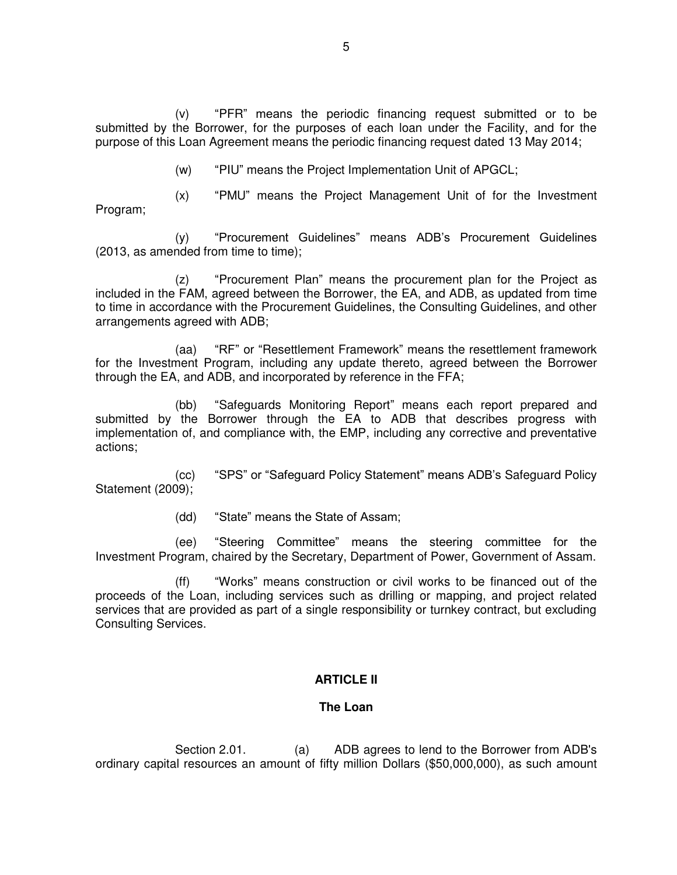(v) "PFR" means the periodic financing request submitted or to be submitted by the Borrower, for the purposes of each loan under the Facility, and for the purpose of this Loan Agreement means the periodic financing request dated 13 May 2014;

(w) "PIU" means the Project Implementation Unit of APGCL;

(x) "PMU" means the Project Management Unit of for the Investment Program;

(y) "Procurement Guidelines" means ADB's Procurement Guidelines (2013, as amended from time to time);

(z) "Procurement Plan" means the procurement plan for the Project as included in the FAM, agreed between the Borrower, the EA, and ADB, as updated from time to time in accordance with the Procurement Guidelines, the Consulting Guidelines, and other arrangements agreed with ADB;

(aa) "RF" or "Resettlement Framework" means the resettlement framework for the Investment Program, including any update thereto, agreed between the Borrower through the EA, and ADB, and incorporated by reference in the FFA;

(bb) "Safeguards Monitoring Report" means each report prepared and submitted by the Borrower through the EA to ADB that describes progress with implementation of, and compliance with, the EMP, including any corrective and preventative actions;

(cc) "SPS" or "Safeguard Policy Statement" means ADB's Safeguard Policy Statement (2009);

(dd) "State" means the State of Assam;

(ee) "Steering Committee" means the steering committee for the Investment Program, chaired by the Secretary, Department of Power, Government of Assam.

(ff) "Works" means construction or civil works to be financed out of the proceeds of the Loan, including services such as drilling or mapping, and project related services that are provided as part of a single responsibility or turnkey contract, but excluding Consulting Services.

## **ARTICLE II**

### **The Loan**

 Section 2.01. (a) ADB agrees to lend to the Borrower from ADB's ordinary capital resources an amount of fifty million Dollars (\$50,000,000), as such amount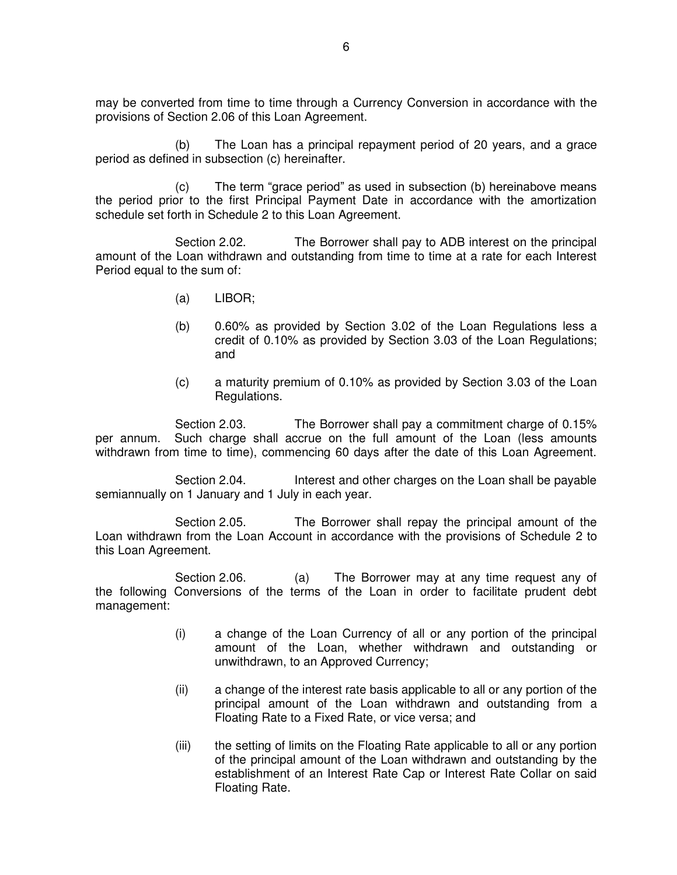may be converted from time to time through a Currency Conversion in accordance with the provisions of Section 2.06 of this Loan Agreement.

(b) The Loan has a principal repayment period of 20 years, and a grace period as defined in subsection (c) hereinafter.

(c) The term "grace period" as used in subsection (b) hereinabove means the period prior to the first Principal Payment Date in accordance with the amortization schedule set forth in Schedule 2 to this Loan Agreement.

Section 2.02. The Borrower shall pay to ADB interest on the principal amount of the Loan withdrawn and outstanding from time to time at a rate for each Interest Period equal to the sum of:

- (a) LIBOR;
- (b) 0.60% as provided by Section 3.02 of the Loan Regulations less a credit of 0.10% as provided by Section 3.03 of the Loan Regulations; and
- (c) a maturity premium of 0.10% as provided by Section 3.03 of the Loan Regulations.

 Section 2.03. The Borrower shall pay a commitment charge of 0.15% per annum. Such charge shall accrue on the full amount of the Loan (less amounts withdrawn from time to time), commencing 60 days after the date of this Loan Agreement.

Section 2.04. Interest and other charges on the Loan shall be payable semiannually on 1 January and 1 July in each year.

 Section 2.05. The Borrower shall repay the principal amount of the Loan withdrawn from the Loan Account in accordance with the provisions of Schedule 2 to this Loan Agreement.

 Section 2.06. (a) The Borrower may at any time request any of the following Conversions of the terms of the Loan in order to facilitate prudent debt management:

- (i) a change of the Loan Currency of all or any portion of the principal amount of the Loan, whether withdrawn and outstanding or unwithdrawn, to an Approved Currency;
- (ii) a change of the interest rate basis applicable to all or any portion of the principal amount of the Loan withdrawn and outstanding from a Floating Rate to a Fixed Rate, or vice versa; and
- (iii) the setting of limits on the Floating Rate applicable to all or any portion of the principal amount of the Loan withdrawn and outstanding by the establishment of an Interest Rate Cap or Interest Rate Collar on said Floating Rate.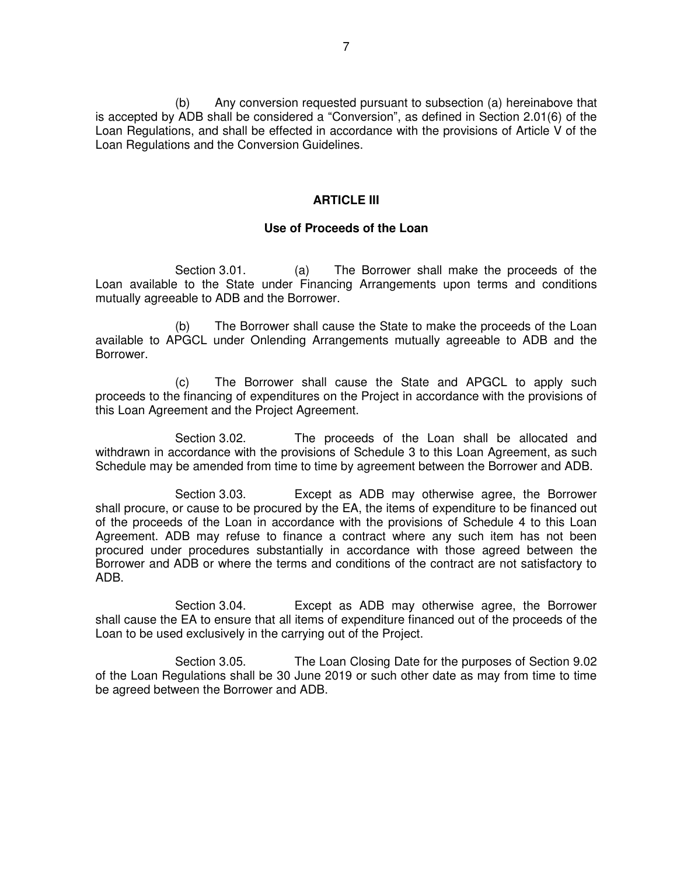(b) Any conversion requested pursuant to subsection (a) hereinabove that is accepted by ADB shall be considered a "Conversion", as defined in Section 2.01(6) of the Loan Regulations, and shall be effected in accordance with the provisions of Article V of the Loan Regulations and the Conversion Guidelines.

### **ARTICLE III**

#### **Use of Proceeds of the Loan**

 Section 3.01. (a) The Borrower shall make the proceeds of the Loan available to the State under Financing Arrangements upon terms and conditions mutually agreeable to ADB and the Borrower.

(b) The Borrower shall cause the State to make the proceeds of the Loan available to APGCL under Onlending Arrangements mutually agreeable to ADB and the Borrower.

(c) The Borrower shall cause the State and APGCL to apply such proceeds to the financing of expenditures on the Project in accordance with the provisions of this Loan Agreement and the Project Agreement.

 Section 3.02. The proceeds of the Loan shall be allocated and withdrawn in accordance with the provisions of Schedule 3 to this Loan Agreement, as such Schedule may be amended from time to time by agreement between the Borrower and ADB.

 Section 3.03. Except as ADB may otherwise agree, the Borrower shall procure, or cause to be procured by the EA, the items of expenditure to be financed out of the proceeds of the Loan in accordance with the provisions of Schedule 4 to this Loan Agreement. ADB may refuse to finance a contract where any such item has not been procured under procedures substantially in accordance with those agreed between the Borrower and ADB or where the terms and conditions of the contract are not satisfactory to ADB.

 Section 3.04. Except as ADB may otherwise agree, the Borrower shall cause the EA to ensure that all items of expenditure financed out of the proceeds of the Loan to be used exclusively in the carrying out of the Project.

 Section 3.05. The Loan Closing Date for the purposes of Section 9.02 of the Loan Regulations shall be 30 June 2019 or such other date as may from time to time be agreed between the Borrower and ADB.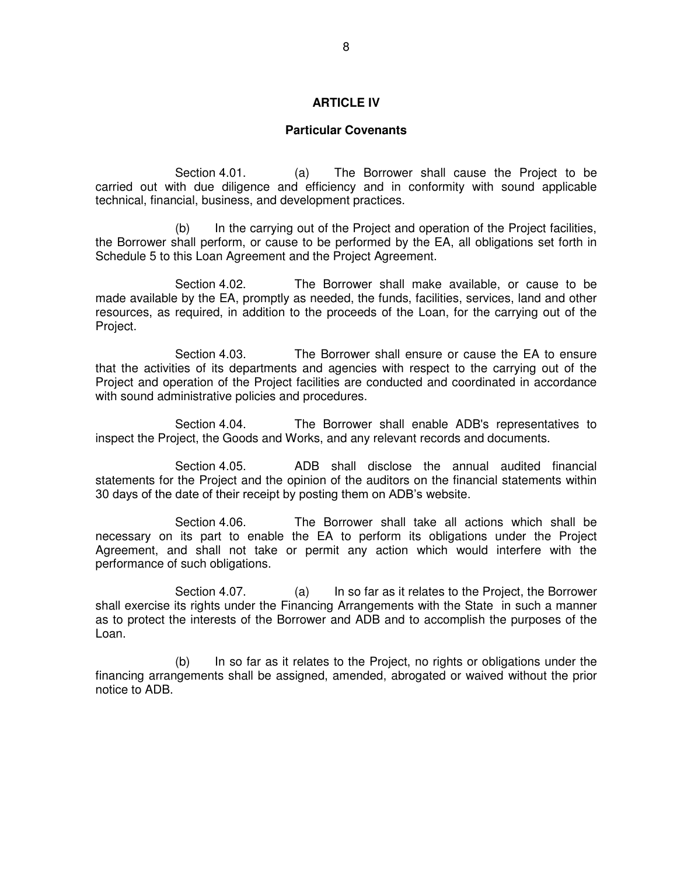#### **ARTICLE IV**

#### **Particular Covenants**

 Section 4.01. (a) The Borrower shall cause the Project to be carried out with due diligence and efficiency and in conformity with sound applicable technical, financial, business, and development practices.

 (b) In the carrying out of the Project and operation of the Project facilities, the Borrower shall perform, or cause to be performed by the EA, all obligations set forth in Schedule 5 to this Loan Agreement and the Project Agreement.

 Section 4.02. The Borrower shall make available, or cause to be made available by the EA, promptly as needed, the funds, facilities, services, land and other resources, as required, in addition to the proceeds of the Loan, for the carrying out of the Project.

 Section 4.03. The Borrower shall ensure or cause the EA to ensure that the activities of its departments and agencies with respect to the carrying out of the Project and operation of the Project facilities are conducted and coordinated in accordance with sound administrative policies and procedures.

 Section 4.04. The Borrower shall enable ADB's representatives to inspect the Project, the Goods and Works, and any relevant records and documents.

Section 4.05. ADB shall disclose the annual audited financial statements for the Project and the opinion of the auditors on the financial statements within 30 days of the date of their receipt by posting them on ADB's website.

Section 4.06. The Borrower shall take all actions which shall be necessary on its part to enable the EA to perform its obligations under the Project Agreement, and shall not take or permit any action which would interfere with the performance of such obligations.

Section 4.07. (a) In so far as it relates to the Project, the Borrower shall exercise its rights under the Financing Arrangements with the State in such a manner as to protect the interests of the Borrower and ADB and to accomplish the purposes of the Loan.

(b) In so far as it relates to the Project, no rights or obligations under the financing arrangements shall be assigned, amended, abrogated or waived without the prior notice to ADB.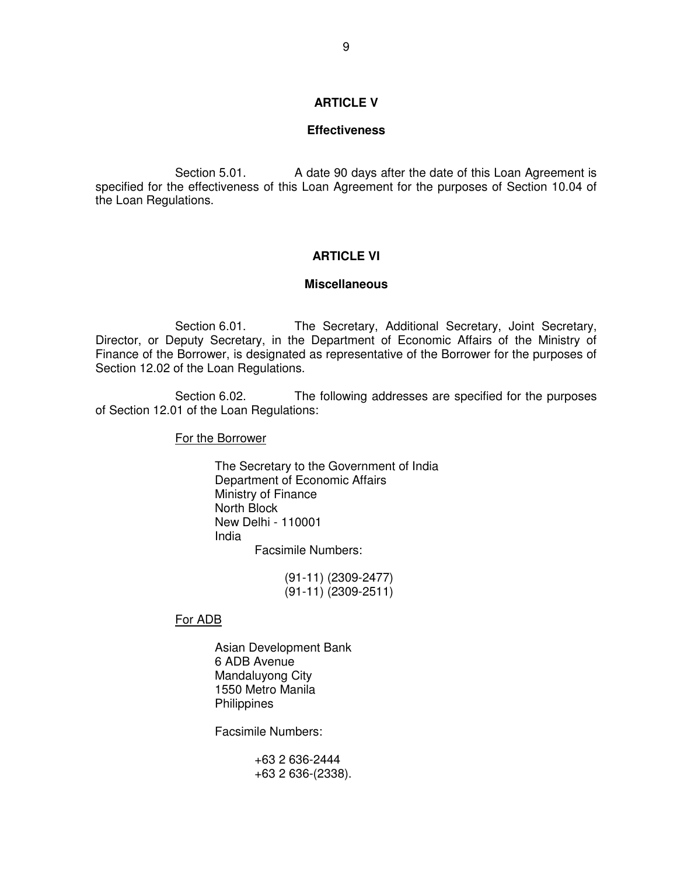#### **ARTICLE V**

#### **Effectiveness**

Section 5.01. A date 90 days after the date of this Loan Agreement is specified for the effectiveness of this Loan Agreement for the purposes of Section 10.04 of the Loan Regulations.

### **ARTICLE VI**

#### **Miscellaneous**

Section 6.01. The Secretary, Additional Secretary, Joint Secretary, Director, or Deputy Secretary, in the Department of Economic Affairs of the Ministry of Finance of the Borrower, is designated as representative of the Borrower for the purposes of Section 12.02 of the Loan Regulations.

 Section 6.02. The following addresses are specified for the purposes of Section 12.01 of the Loan Regulations:

For the Borrower

 The Secretary to the Government of India Department of Economic Affairs Ministry of Finance North Block New Delhi - 110001 India Facsimile Numbers:

> (91-11) (2309-2477) (91-11) (2309-2511)

For ADB

 Asian Development Bank 6 ADB Avenue Mandaluyong City 1550 Metro Manila **Philippines** 

Facsimile Numbers:

 +63 2 636-2444 +63 2 636-(2338).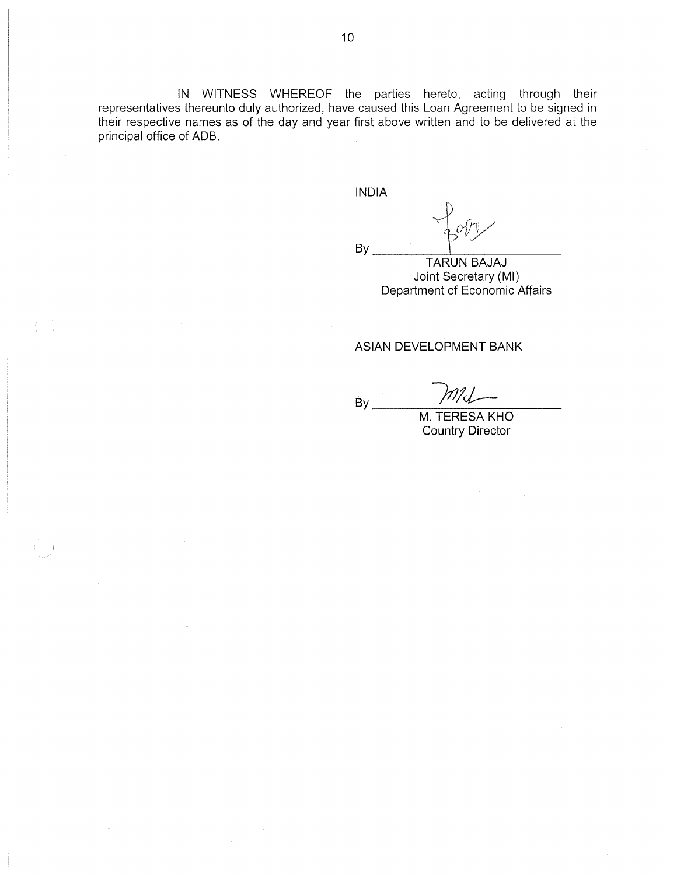IN WITNESS WHEREOF the parties hereto, acting through their representatives thereunto duly authorized, have caused this Loan Agreement to be signed in their respective names as of the day and year first above written and to be delivered at the principal office of ADB.

**INDIA** 

**By** 

By

**TARUN BAJAJ** Joint Secretary (MI) Department of Economic Affairs

#### ASIAN DEVELOPMENT BANK

MU

M. TERESA KHO **Country Director**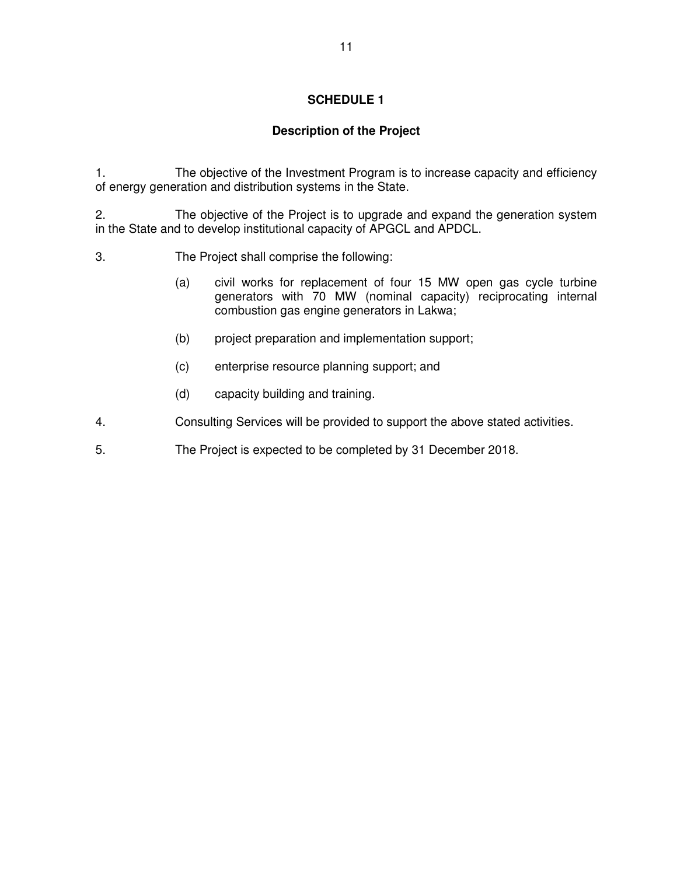# **Description of the Project**

1. The objective of the Investment Program is to increase capacity and efficiency of energy generation and distribution systems in the State.

2. The objective of the Project is to upgrade and expand the generation system in the State and to develop institutional capacity of APGCL and APDCL.

- 3. The Project shall comprise the following:
	- (a) civil works for replacement of four 15 MW open gas cycle turbine generators with 70 MW (nominal capacity) reciprocating internal combustion gas engine generators in Lakwa;
	- (b) project preparation and implementation support;
	- (c) enterprise resource planning support; and
	- (d) capacity building and training.
- 4. Consulting Services will be provided to support the above stated activities.
- 5. The Project is expected to be completed by 31 December 2018.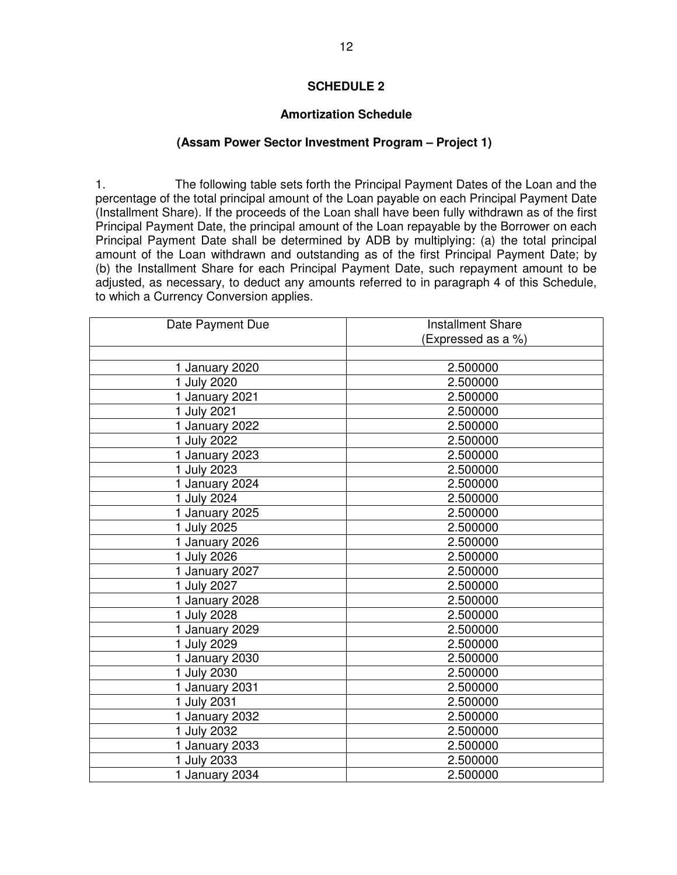### **Amortization Schedule**

### **(Assam Power Sector Investment Program – Project 1)**

1. The following table sets forth the Principal Payment Dates of the Loan and the percentage of the total principal amount of the Loan payable on each Principal Payment Date (Installment Share). If the proceeds of the Loan shall have been fully withdrawn as of the first Principal Payment Date, the principal amount of the Loan repayable by the Borrower on each Principal Payment Date shall be determined by ADB by multiplying: (a) the total principal amount of the Loan withdrawn and outstanding as of the first Principal Payment Date; by (b) the Installment Share for each Principal Payment Date, such repayment amount to be adjusted, as necessary, to deduct any amounts referred to in paragraph 4 of this Schedule, to which a Currency Conversion applies.

| Date Payment Due | <b>Installment Share</b> |  |  |
|------------------|--------------------------|--|--|
|                  | (Expressed as a %)       |  |  |
|                  |                          |  |  |
| 1 January 2020   | 2.500000                 |  |  |
| 1 July 2020      | 2.500000                 |  |  |
| 1 January 2021   | 2.500000                 |  |  |
| 1 July 2021      | 2.500000                 |  |  |
| 1 January 2022   | 2.500000                 |  |  |
| 1 July 2022      | 2.500000                 |  |  |
| 1 January 2023   | 2.500000                 |  |  |
| 1 July 2023      | 2.500000                 |  |  |
| 1 January 2024   | 2.500000                 |  |  |
| 1 July 2024      | 2.500000                 |  |  |
| 1 January 2025   | 2.500000                 |  |  |
| 1 July 2025      | 2.500000                 |  |  |
| 1 January 2026   | 2.500000                 |  |  |
| 1 July 2026      | 2.500000                 |  |  |
| 1 January 2027   | 2.500000                 |  |  |
| 1 July 2027      | 2.500000                 |  |  |
| 1 January 2028   | 2.500000                 |  |  |
| 1 July 2028      | 2.500000                 |  |  |
| 1 January 2029   | 2.500000                 |  |  |
| 1 July 2029      | 2.500000                 |  |  |
| 1 January 2030   | 2.500000                 |  |  |
| 1 July 2030      | 2.500000                 |  |  |
| 1 January 2031   | 2.500000                 |  |  |
| 1 July 2031      | 2.500000                 |  |  |
| 1 January 2032   | 2.500000                 |  |  |
| 1 July 2032      | 2.500000                 |  |  |
| 1 January 2033   | 2.500000                 |  |  |
| <b>July 2033</b> | 2.500000                 |  |  |
| 1 January 2034   | 2.500000                 |  |  |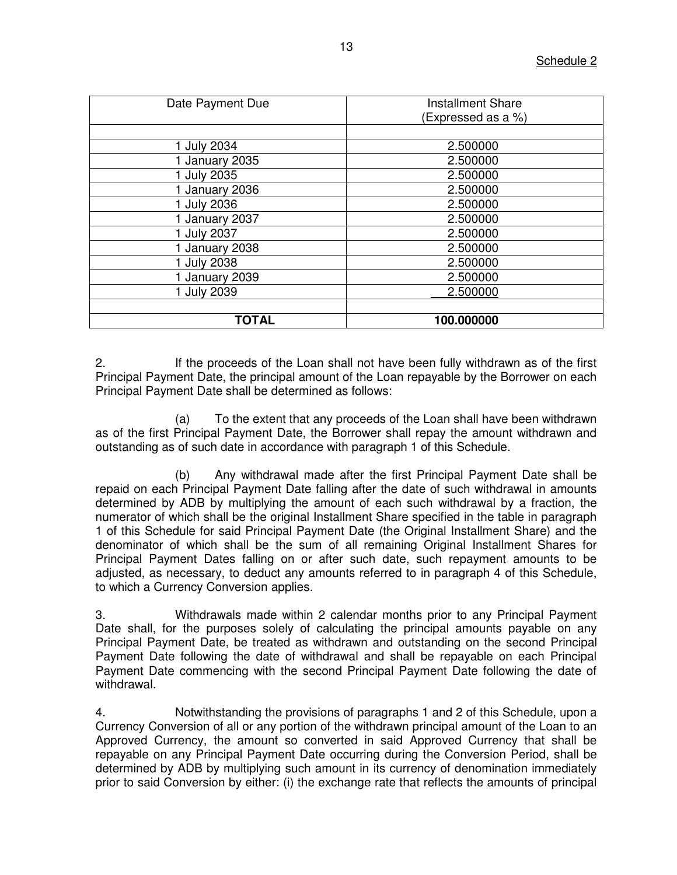| Date Payment Due | <b>Installment Share</b><br>(Expressed as a %) |  |  |
|------------------|------------------------------------------------|--|--|
|                  |                                                |  |  |
| 1 July 2034      | 2.500000                                       |  |  |
| 1 January 2035   | 2.500000                                       |  |  |
| 1 July 2035      | 2.500000                                       |  |  |
| 1 January 2036   | 2.500000                                       |  |  |
| 1 July 2036      | 2.500000                                       |  |  |
| 1 January 2037   | 2.500000                                       |  |  |
| 1 July 2037      | 2.500000                                       |  |  |
| 1 January 2038   | 2.500000                                       |  |  |
| 1 July 2038      | 2.500000                                       |  |  |
| 1 January 2039   | 2.500000                                       |  |  |
| 1 July 2039      | 2.500000                                       |  |  |
|                  |                                                |  |  |
| <b>TOTAL</b>     | 100.000000                                     |  |  |

2. If the proceeds of the Loan shall not have been fully withdrawn as of the first Principal Payment Date, the principal amount of the Loan repayable by the Borrower on each Principal Payment Date shall be determined as follows:

(a) To the extent that any proceeds of the Loan shall have been withdrawn as of the first Principal Payment Date, the Borrower shall repay the amount withdrawn and outstanding as of such date in accordance with paragraph 1 of this Schedule.

(b) Any withdrawal made after the first Principal Payment Date shall be repaid on each Principal Payment Date falling after the date of such withdrawal in amounts determined by ADB by multiplying the amount of each such withdrawal by a fraction, the numerator of which shall be the original Installment Share specified in the table in paragraph 1 of this Schedule for said Principal Payment Date (the Original Installment Share) and the denominator of which shall be the sum of all remaining Original Installment Shares for Principal Payment Dates falling on or after such date, such repayment amounts to be adjusted, as necessary, to deduct any amounts referred to in paragraph 4 of this Schedule, to which a Currency Conversion applies.

3. Withdrawals made within 2 calendar months prior to any Principal Payment Date shall, for the purposes solely of calculating the principal amounts payable on any Principal Payment Date, be treated as withdrawn and outstanding on the second Principal Payment Date following the date of withdrawal and shall be repayable on each Principal Payment Date commencing with the second Principal Payment Date following the date of withdrawal.

4. Notwithstanding the provisions of paragraphs 1 and 2 of this Schedule, upon a Currency Conversion of all or any portion of the withdrawn principal amount of the Loan to an Approved Currency, the amount so converted in said Approved Currency that shall be repayable on any Principal Payment Date occurring during the Conversion Period, shall be determined by ADB by multiplying such amount in its currency of denomination immediately prior to said Conversion by either: (i) the exchange rate that reflects the amounts of principal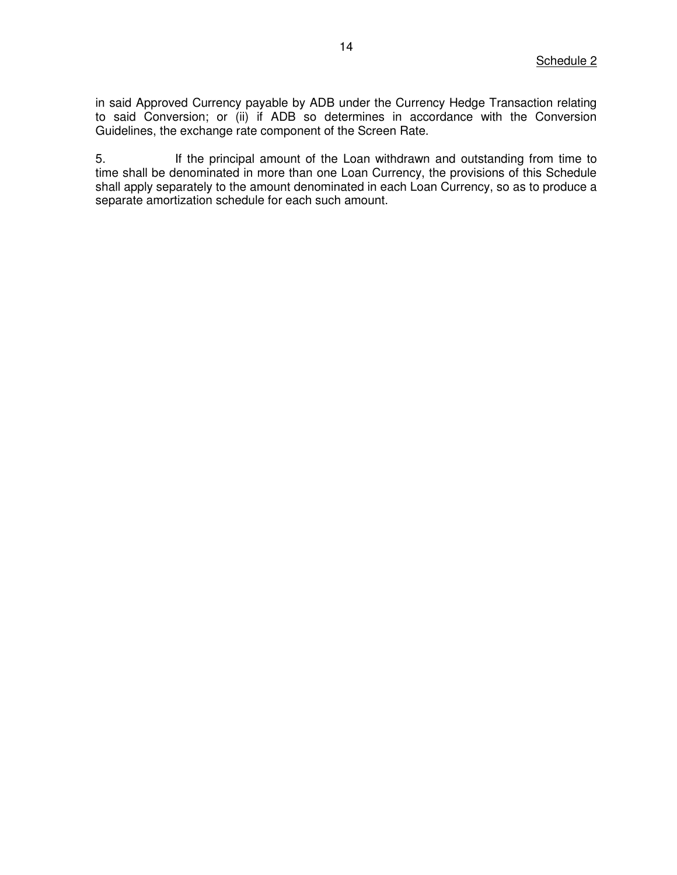in said Approved Currency payable by ADB under the Currency Hedge Transaction relating to said Conversion; or (ii) if ADB so determines in accordance with the Conversion Guidelines, the exchange rate component of the Screen Rate.

5. If the principal amount of the Loan withdrawn and outstanding from time to time shall be denominated in more than one Loan Currency, the provisions of this Schedule shall apply separately to the amount denominated in each Loan Currency, so as to produce a separate amortization schedule for each such amount.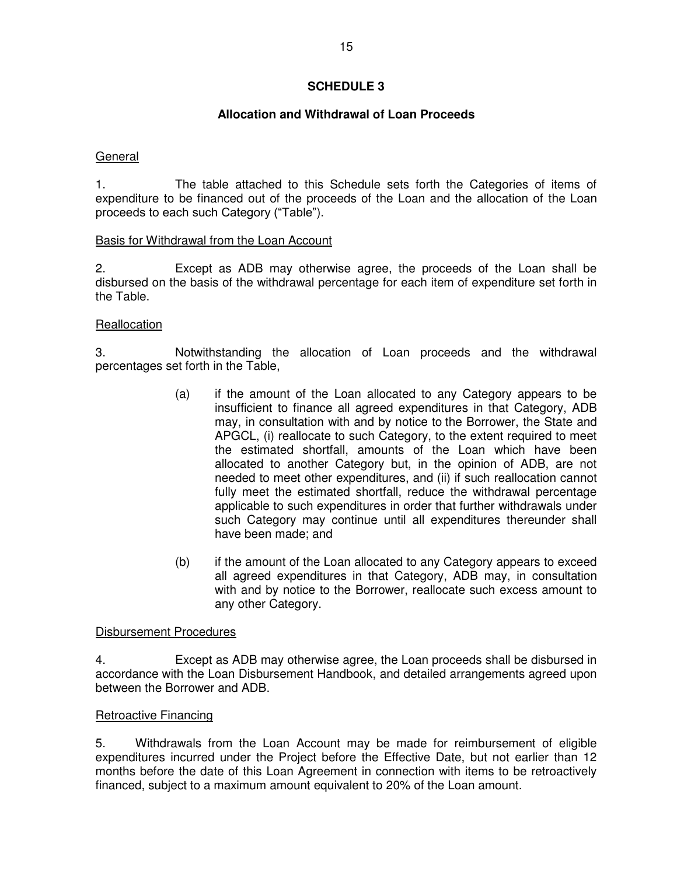### **Allocation and Withdrawal of Loan Proceeds**

### General

1. The table attached to this Schedule sets forth the Categories of items of expenditure to be financed out of the proceeds of the Loan and the allocation of the Loan proceeds to each such Category ("Table").

### Basis for Withdrawal from the Loan Account

2. Except as ADB may otherwise agree, the proceeds of the Loan shall be disbursed on the basis of the withdrawal percentage for each item of expenditure set forth in the Table.

### **Reallocation**

3. Notwithstanding the allocation of Loan proceeds and the withdrawal percentages set forth in the Table,

- (a) if the amount of the Loan allocated to any Category appears to be insufficient to finance all agreed expenditures in that Category, ADB may, in consultation with and by notice to the Borrower, the State and APGCL, (i) reallocate to such Category, to the extent required to meet the estimated shortfall, amounts of the Loan which have been allocated to another Category but, in the opinion of ADB, are not needed to meet other expenditures, and (ii) if such reallocation cannot fully meet the estimated shortfall, reduce the withdrawal percentage applicable to such expenditures in order that further withdrawals under such Category may continue until all expenditures thereunder shall have been made; and
- (b) if the amount of the Loan allocated to any Category appears to exceed all agreed expenditures in that Category, ADB may, in consultation with and by notice to the Borrower, reallocate such excess amount to any other Category.

### Disbursement Procedures

4. Except as ADB may otherwise agree, the Loan proceeds shall be disbursed in accordance with the Loan Disbursement Handbook, and detailed arrangements agreed upon between the Borrower and ADB.

### Retroactive Financing

5. Withdrawals from the Loan Account may be made for reimbursement of eligible expenditures incurred under the Project before the Effective Date, but not earlier than 12 months before the date of this Loan Agreement in connection with items to be retroactively financed, subject to a maximum amount equivalent to 20% of the Loan amount.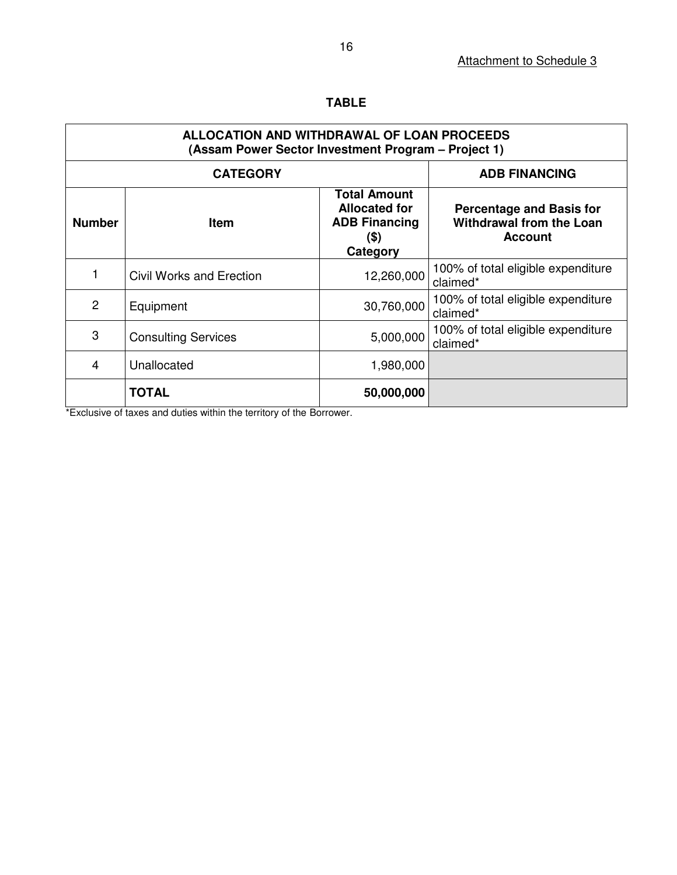|--|--|

| ALLOCATION AND WITHDRAWAL OF LOAN PROCEEDS<br>(Assam Power Sector Investment Program – Project 1) |                            |                                                                                         |                                                                                      |  |  |
|---------------------------------------------------------------------------------------------------|----------------------------|-----------------------------------------------------------------------------------------|--------------------------------------------------------------------------------------|--|--|
| <b>CATEGORY</b>                                                                                   |                            | <b>ADB FINANCING</b>                                                                    |                                                                                      |  |  |
| <b>Number</b>                                                                                     | <b>Item</b>                | <b>Total Amount</b><br><b>Allocated for</b><br><b>ADB Financing</b><br>(\$)<br>Category | <b>Percentage and Basis for</b><br><b>Withdrawal from the Loan</b><br><b>Account</b> |  |  |
|                                                                                                   | Civil Works and Erection   | 12,260,000                                                                              | 100% of total eligible expenditure<br>claimed*                                       |  |  |
| 2                                                                                                 | Equipment                  | 30,760,000                                                                              | 100% of total eligible expenditure<br>claimed*                                       |  |  |
| 3                                                                                                 | <b>Consulting Services</b> | 5,000,000                                                                               | 100% of total eligible expenditure<br>claimed*                                       |  |  |
| 4                                                                                                 | Unallocated                | 1,980,000                                                                               |                                                                                      |  |  |
|                                                                                                   | <b>TOTAL</b>               | 50,000,000                                                                              |                                                                                      |  |  |

\*Exclusive of taxes and duties within the territory of the Borrower.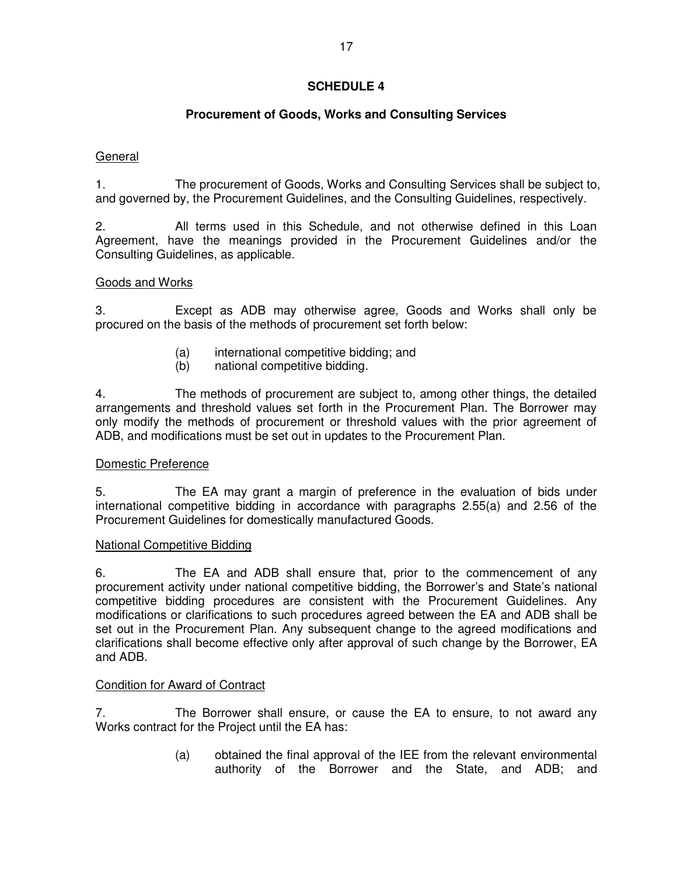# **Procurement of Goods, Works and Consulting Services**

# General

1. The procurement of Goods, Works and Consulting Services shall be subject to, and governed by, the Procurement Guidelines, and the Consulting Guidelines, respectively.

2. All terms used in this Schedule, and not otherwise defined in this Loan Agreement, have the meanings provided in the Procurement Guidelines and/or the Consulting Guidelines, as applicable.

## Goods and Works

3. Except as ADB may otherwise agree, Goods and Works shall only be procured on the basis of the methods of procurement set forth below:

- (a) international competitive bidding; and
- (b) national competitive bidding.

4. The methods of procurement are subject to, among other things, the detailed arrangements and threshold values set forth in the Procurement Plan. The Borrower may only modify the methods of procurement or threshold values with the prior agreement of ADB, and modifications must be set out in updates to the Procurement Plan.

### Domestic Preference

5. The EA may grant a margin of preference in the evaluation of bids under international competitive bidding in accordance with paragraphs 2.55(a) and 2.56 of the Procurement Guidelines for domestically manufactured Goods.

### National Competitive Bidding

6. The EA and ADB shall ensure that, prior to the commencement of any procurement activity under national competitive bidding, the Borrower's and State's national competitive bidding procedures are consistent with the Procurement Guidelines. Any modifications or clarifications to such procedures agreed between the EA and ADB shall be set out in the Procurement Plan. Any subsequent change to the agreed modifications and clarifications shall become effective only after approval of such change by the Borrower, EA and ADB.

### Condition for Award of Contract

7. The Borrower shall ensure, or cause the EA to ensure, to not award any Works contract for the Project until the EA has:

> (a) obtained the final approval of the IEE from the relevant environmental authority of the Borrower and the State, and ADB; and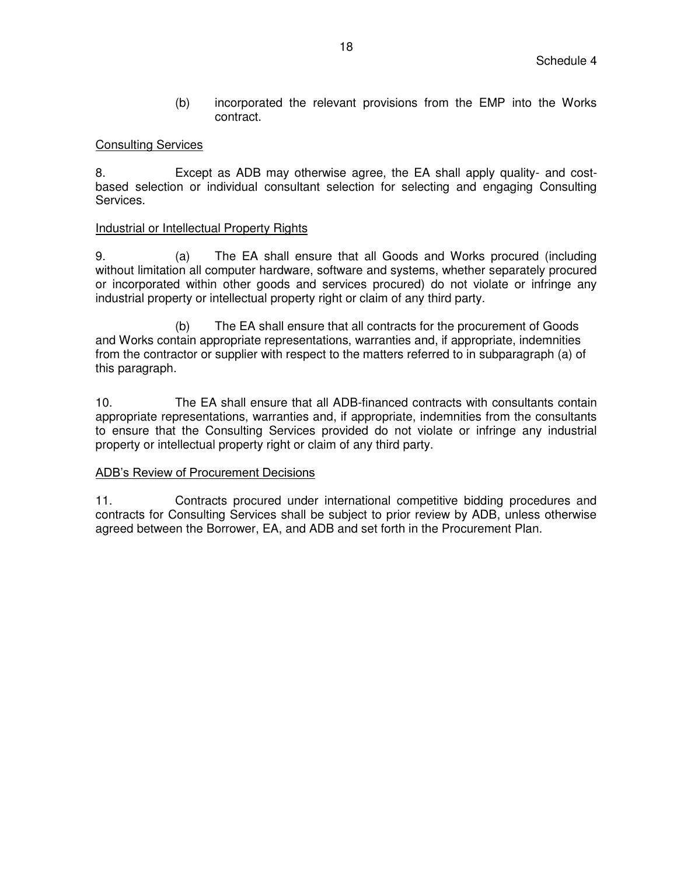(b) incorporated the relevant provisions from the EMP into the Works contract.

### Consulting Services

8. Except as ADB may otherwise agree, the EA shall apply quality- and costbased selection or individual consultant selection for selecting and engaging Consulting Services.

### Industrial or Intellectual Property Rights

9. (a) The EA shall ensure that all Goods and Works procured (including without limitation all computer hardware, software and systems, whether separately procured or incorporated within other goods and services procured) do not violate or infringe any industrial property or intellectual property right or claim of any third party.

 (b) The EA shall ensure that all contracts for the procurement of Goods and Works contain appropriate representations, warranties and, if appropriate, indemnities from the contractor or supplier with respect to the matters referred to in subparagraph (a) of this paragraph.

10. The EA shall ensure that all ADB-financed contracts with consultants contain appropriate representations, warranties and, if appropriate, indemnities from the consultants to ensure that the Consulting Services provided do not violate or infringe any industrial property or intellectual property right or claim of any third party.

## ADB's Review of Procurement Decisions

11. Contracts procured under international competitive bidding procedures and contracts for Consulting Services shall be subject to prior review by ADB, unless otherwise agreed between the Borrower, EA, and ADB and set forth in the Procurement Plan.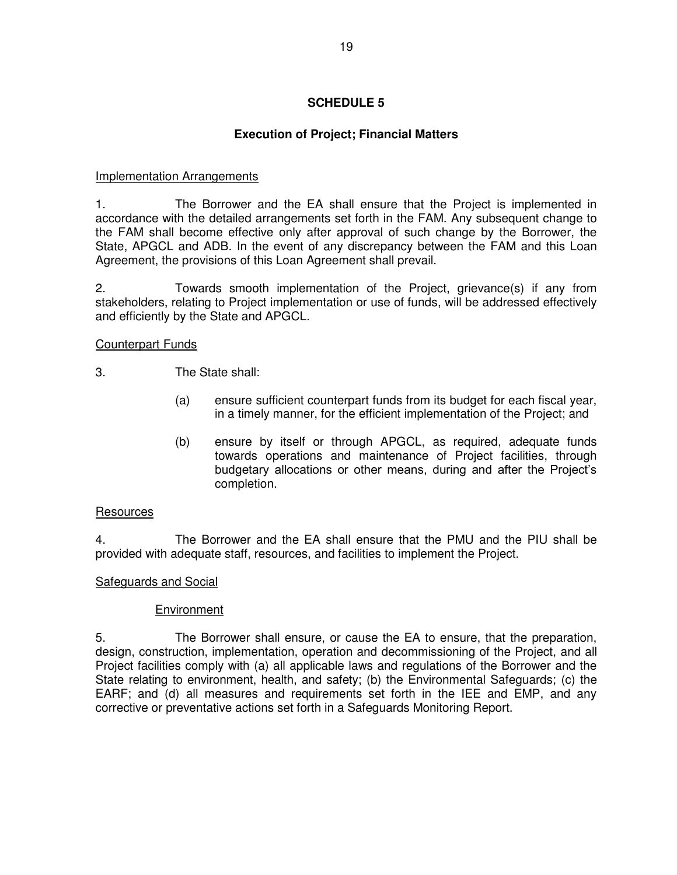# **Execution of Project; Financial Matters**

### Implementation Arrangements

1. The Borrower and the EA shall ensure that the Project is implemented in accordance with the detailed arrangements set forth in the FAM. Any subsequent change to the FAM shall become effective only after approval of such change by the Borrower, the State, APGCL and ADB. In the event of any discrepancy between the FAM and this Loan Agreement, the provisions of this Loan Agreement shall prevail.

2. Towards smooth implementation of the Project, grievance(s) if any from stakeholders, relating to Project implementation or use of funds, will be addressed effectively and efficiently by the State and APGCL.

### Counterpart Funds

3. The State shall:

- (a) ensure sufficient counterpart funds from its budget for each fiscal year, in a timely manner, for the efficient implementation of the Project; and
- (b) ensure by itself or through APGCL, as required, adequate funds towards operations and maintenance of Project facilities, through budgetary allocations or other means, during and after the Project's completion.

### **Resources**

4. The Borrower and the EA shall ensure that the PMU and the PIU shall be provided with adequate staff, resources, and facilities to implement the Project.

### Safeguards and Social

### Environment

5. The Borrower shall ensure, or cause the EA to ensure, that the preparation, design, construction, implementation, operation and decommissioning of the Project, and all Project facilities comply with (a) all applicable laws and regulations of the Borrower and the State relating to environment, health, and safety; (b) the Environmental Safeguards; (c) the EARF; and (d) all measures and requirements set forth in the IEE and EMP, and any corrective or preventative actions set forth in a Safeguards Monitoring Report.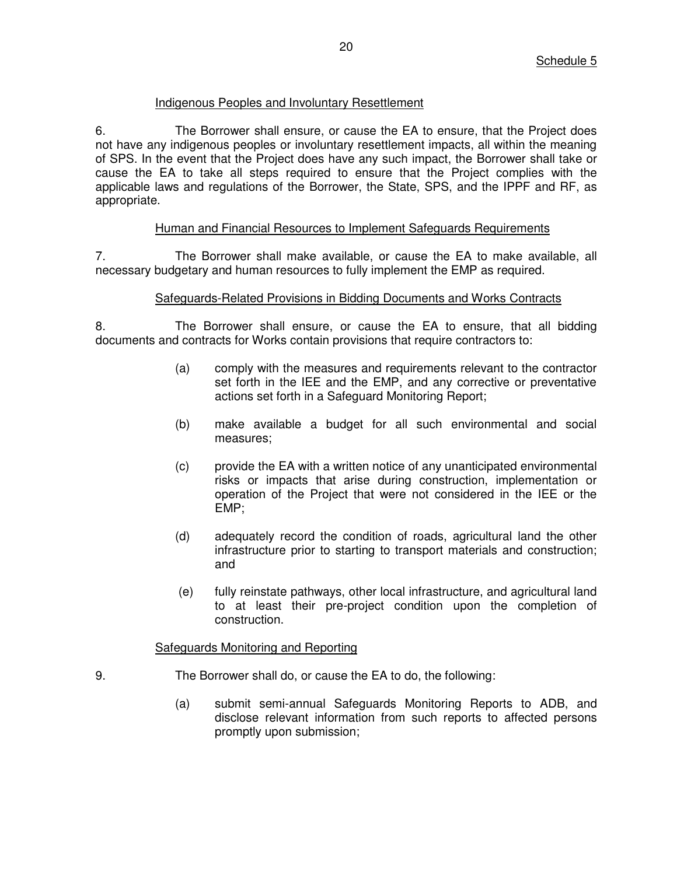### Indigenous Peoples and Involuntary Resettlement

6. The Borrower shall ensure, or cause the EA to ensure, that the Project does not have any indigenous peoples or involuntary resettlement impacts, all within the meaning of SPS. In the event that the Project does have any such impact, the Borrower shall take or cause the EA to take all steps required to ensure that the Project complies with the applicable laws and regulations of the Borrower, the State, SPS, and the IPPF and RF, as appropriate.

### Human and Financial Resources to Implement Safeguards Requirements

7. The Borrower shall make available, or cause the EA to make available, all necessary budgetary and human resources to fully implement the EMP as required.

### Safeguards-Related Provisions in Bidding Documents and Works Contracts

8. The Borrower shall ensure, or cause the EA to ensure, that all bidding documents and contracts for Works contain provisions that require contractors to:

- (a) comply with the measures and requirements relevant to the contractor set forth in the IEE and the EMP, and any corrective or preventative actions set forth in a Safeguard Monitoring Report;
- (b) make available a budget for all such environmental and social measures;
- (c) provide the EA with a written notice of any unanticipated environmental risks or impacts that arise during construction, implementation or operation of the Project that were not considered in the IEE or the EMP;
- (d) adequately record the condition of roads, agricultural land the other infrastructure prior to starting to transport materials and construction; and
- (e) fully reinstate pathways, other local infrastructure, and agricultural land to at least their pre-project condition upon the completion of construction.

### Safeguards Monitoring and Reporting

- 9. The Borrower shall do, or cause the EA to do, the following:
	- (a) submit semi-annual Safeguards Monitoring Reports to ADB, and disclose relevant information from such reports to affected persons promptly upon submission;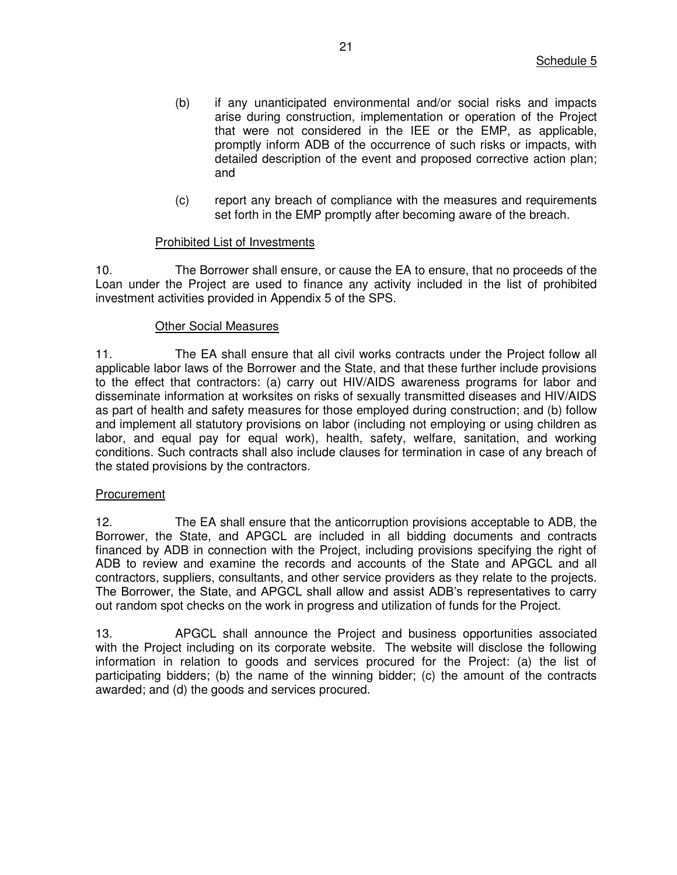- (b) if any unanticipated environmental and/or social risks and impacts arise during construction, implementation or operation of the Project that were not considered in the IEE or the EMP, as applicable, promptly inform ADB of the occurrence of such risks or impacts, with detailed description of the event and proposed corrective action plan; and
- (c) report any breach of compliance with the measures and requirements set forth in the EMP promptly after becoming aware of the breach.

### Prohibited List of Investments

10. The Borrower shall ensure, or cause the EA to ensure, that no proceeds of the Loan under the Project are used to finance any activity included in the list of prohibited investment activities provided in Appendix 5 of the SPS.

#### Other Social Measures

11. The EA shall ensure that all civil works contracts under the Project follow all applicable labor laws of the Borrower and the State, and that these further include provisions to the effect that contractors: (a) carry out HIV/AIDS awareness programs for labor and disseminate information at worksites on risks of sexually transmitted diseases and HIV/AIDS as part of health and safety measures for those employed during construction; and (b) follow and implement all statutory provisions on labor (including not employing or using children as labor, and equal pay for equal work), health, safety, welfare, sanitation, and working conditions. Such contracts shall also include clauses for termination in case of any breach of the stated provisions by the contractors.

#### **Procurement**

12. The EA shall ensure that the anticorruption provisions acceptable to ADB, the Borrower, the State, and APGCL are included in all bidding documents and contracts financed by ADB in connection with the Project, including provisions specifying the right of ADB to review and examine the records and accounts of the State and APGCL and all contractors, suppliers, consultants, and other service providers as they relate to the projects. The Borrower, the State, and APGCL shall allow and assist ADB's representatives to carry out random spot checks on the work in progress and utilization of funds for the Project.

13. APGCL shall announce the Project and business opportunities associated with the Project including on its corporate website. The website will disclose the following information in relation to goods and services procured for the Project: (a) the list of participating bidders; (b) the name of the winning bidder; (c) the amount of the contracts awarded; and (d) the goods and services procured.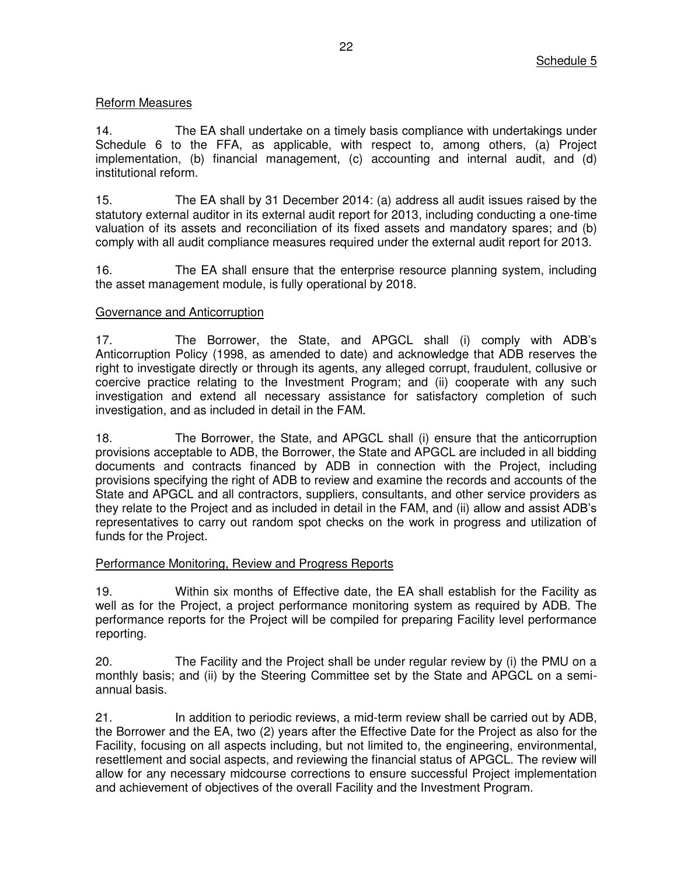# Reform Measures

14. The EA shall undertake on a timely basis compliance with undertakings under Schedule 6 to the FFA, as applicable, with respect to, among others, (a) Project implementation, (b) financial management, (c) accounting and internal audit, and (d) institutional reform.

15. The EA shall by 31 December 2014: (a) address all audit issues raised by the statutory external auditor in its external audit report for 2013, including conducting a one-time valuation of its assets and reconciliation of its fixed assets and mandatory spares; and (b) comply with all audit compliance measures required under the external audit report for 2013.

16. The EA shall ensure that the enterprise resource planning system, including the asset management module, is fully operational by 2018.

### Governance and Anticorruption

17. The Borrower, the State, and APGCL shall (i) comply with ADB's Anticorruption Policy (1998, as amended to date) and acknowledge that ADB reserves the right to investigate directly or through its agents, any alleged corrupt, fraudulent, collusive or coercive practice relating to the Investment Program; and (ii) cooperate with any such investigation and extend all necessary assistance for satisfactory completion of such investigation, and as included in detail in the FAM.

18. The Borrower, the State, and APGCL shall (i) ensure that the anticorruption provisions acceptable to ADB, the Borrower, the State and APGCL are included in all bidding documents and contracts financed by ADB in connection with the Project, including provisions specifying the right of ADB to review and examine the records and accounts of the State and APGCL and all contractors, suppliers, consultants, and other service providers as they relate to the Project and as included in detail in the FAM, and (ii) allow and assist ADB's representatives to carry out random spot checks on the work in progress and utilization of funds for the Project.

## Performance Monitoring, Review and Progress Reports

19. Within six months of Effective date, the EA shall establish for the Facility as well as for the Project, a project performance monitoring system as required by ADB. The performance reports for the Project will be compiled for preparing Facility level performance reporting.

20. The Facility and the Project shall be under regular review by (i) the PMU on a monthly basis; and (ii) by the Steering Committee set by the State and APGCL on a semiannual basis.

21. In addition to periodic reviews, a mid-term review shall be carried out by ADB, the Borrower and the EA, two (2) years after the Effective Date for the Project as also for the Facility, focusing on all aspects including, but not limited to, the engineering, environmental, resettlement and social aspects, and reviewing the financial status of APGCL. The review will allow for any necessary midcourse corrections to ensure successful Project implementation and achievement of objectives of the overall Facility and the Investment Program.